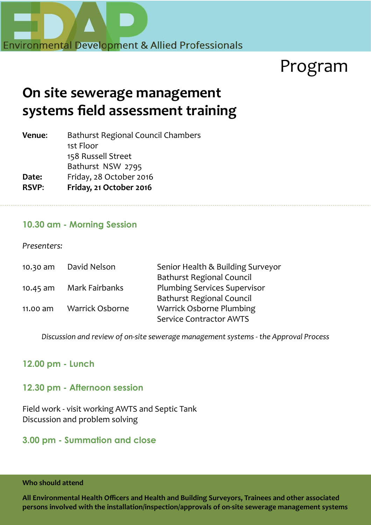

# Program

## **On site sewerage management systems field assessment training**

| Bathurst Regional Council Chambers |  |
|------------------------------------|--|
| 1st Floor                          |  |
| 158 Russell Street                 |  |
| Bathurst NSW 2795                  |  |
| Friday, 28 October 2016            |  |
| Friday, 21 October 2016            |  |
|                                    |  |

#### **10.30 am - Morning Session**

*Presenters:*

| 10.30 am   | David Nelson           | Senior Health & Building Surveyor   |
|------------|------------------------|-------------------------------------|
|            |                        | <b>Bathurst Regional Council</b>    |
| $10.45$ am | Mark Fairbanks         | <b>Plumbing Services Supervisor</b> |
|            |                        | <b>Bathurst Regional Council</b>    |
| 11.00 am   | <b>Warrick Osborne</b> | <b>Warrick Osborne Plumbing</b>     |
|            |                        | <b>Service Contractor AWTS</b>      |
|            |                        |                                     |

*Discussion and review of on-site sewerage management systems - the Approval Process*

### **12.00 pm - Lunch**

#### **12.30 pm - Afternoon session**

Field work - visit working AWTS and Septic Tank Discussion and problem solving

#### **3.00 pm - Summation and close**

**Who should attend** 

**All Environmental Health Officers and Health and Building Surveyors, Trainees and other associated persons involved with the installation/inspection/approvals of on-site sewerage management systems**